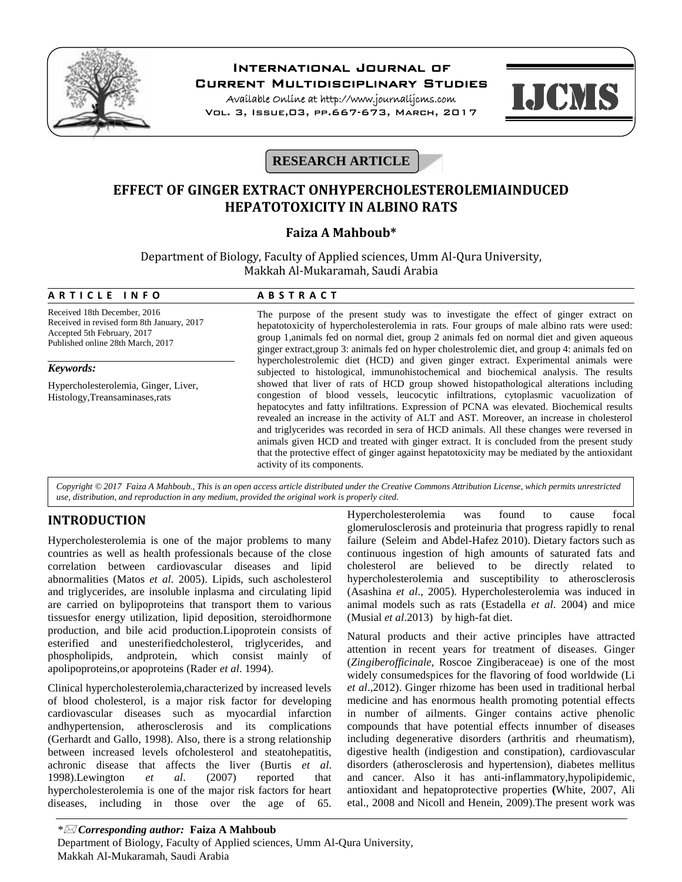

# **International Journal of**

**Current Multidisciplinary Studies**

**Available Online at http://www.journalijcms.com** Vol. 3, Issue,03, pp.667-673, March, 2017



## **RESEARCH ARTICLE**

## **EFFECT OF GINGER EXTRACT ONHYPERCHOLESTEROLEMIAINDUCED HEPATOTOXICITY IN ALBINO RATS**

## **Faiza A Mahboub\***

| Faiza A Mahboub*<br>Department of Biology, Faculty of Applied sciences, Umm Al-Qura University,<br>Makkah Al-Mukaramah, Saudi Arabia           |                                                                                                                                                                                                                                                                                                                                                                                                                                                                                                                                                                |
|------------------------------------------------------------------------------------------------------------------------------------------------|----------------------------------------------------------------------------------------------------------------------------------------------------------------------------------------------------------------------------------------------------------------------------------------------------------------------------------------------------------------------------------------------------------------------------------------------------------------------------------------------------------------------------------------------------------------|
|                                                                                                                                                |                                                                                                                                                                                                                                                                                                                                                                                                                                                                                                                                                                |
| Received 18th December, 2016<br>Received in revised form 8th January, 2017<br>Accepted 5th February, 2017<br>Published online 28th March, 2017 | The purpose of the present study was to investigate the effect of ginger extract on<br>hepatotoxicity of hypercholesterolemia in rats. Four groups of male albino rats were used:<br>group 1, animals fed on normal diet, group 2 animals fed on normal diet and given aqueous<br>ginger extract, group 3: animals fed on hyper cholestrolemic diet, and group 4: animals fed on<br>hypercholestrolemic diet (HCD) and given ginger extract. Experimental animals were<br>subjected to histological, immunohistochemical and biochemical analysis. The results |
| Keywords:                                                                                                                                      |                                                                                                                                                                                                                                                                                                                                                                                                                                                                                                                                                                |
| Hypercholesterolemia, Ginger, Liver,<br>Histology, Treansaminases, rats                                                                        | showed that liver of rats of HCD group showed histopathological alterations including<br>congestion of blood vessels, leucocytic infiltrations, cytoplasmic vacuolization of                                                                                                                                                                                                                                                                                                                                                                                   |

that the protective effect of ginger against hepatotoxicity may be mediated by the antioxidant activity of its components.

*Copyright © 2017 Faiza A Mahboub., This is an open access article distributed under the Creative Commons Attribution License, which permits unrestricted use, distribution, and reproduction in any medium, provided the original work is properly cited.*

### **INTRODUCTION**

Hypercholesterolemia is one of the major problems to many countries as well as health professionals because of the close correlation between cardiovascular diseases and lipid abnormalities (Matos *et al*. 2005). Lipids, such ascholesterol and triglycerides, are insoluble inplasma and circulating lipid are carried on bylipoproteins that transport them to various tissuesfor energy utilization, lipid deposition, steroidhormone production, and bile acid production.Lipoprotein consists of esterified and unesterifiedcholesterol, triglycerides, and phospholipids, andprotein, which consist mainly of apolipoproteins,or apoproteins (Rader *et al*. 1994).

Clinical hypercholesterolemia,characterized by increased levels of blood cholesterol, is a major risk factor for developing cardiovascular diseases such as myocardial infarction andhypertension, atherosclerosis and its complications (Gerhardt and Gallo, 1998). Also, there is a strong relationship between increased levels ofcholesterol and steatohepatitis, achronic disease that affects the liver (Burtis *et al*. 1998).Lewington *et al*. (2007) reported that hypercholesterolemia is one of the major risk factors for heart diseases, including in those over the age of 65.

Hypercholesterolemia was found to cause focal glomerulosclerosis and proteinuria that progress rapidly to renal failure (Seleim and Abdel-Hafez 2010). Dietary factors such as continuous ingestion of high amounts of saturated fats and cholesterol are believed to be directly related to hypercholesterolemia and susceptibility to atherosclerosis (Asashina *et al*., 2005). Hypercholesterolemia was induced in animal models such as rats (Estadella *et al*. 2004) and mice (Musial *et al*.2013) by high-fat diet.

hepatocytes and fatty infiltrations. Expression of PCNA was elevated. Biochemical results revealed an increase in the activity of ALT and AST. Moreover, an increase in cholesterol and triglycerides was recorded in sera of HCD animals. All these changes were reversed in animals given HCD and treated with ginger extract. It is concluded from the present study

> Natural products and their active principles have attracted attention in recent years for treatment of diseases. Ginger (*Zingiberofficinale*, Roscoe Zingiberaceae) is one of the most widely consumedspices for the flavoring of food worldwide (Li *et al*.,2012). Ginger rhizome has been used in traditional herbal medicine and has enormous health promoting potential effects in number of ailments. Ginger contains active phenolic compounds that have potential effects innumber of diseases including degenerative disorders (arthritis and rheumatism), digestive health (indigestion and constipation), cardiovascular disorders (atherosclerosis and hypertension), diabetes mellitus and cancer. Also it has anti-inflammatory,hypolipidemic, antioxidant and hepatoprotective properties **(**White, 2007, Ali etal., 2008 and Nicoll and Henein, 2009).The present work was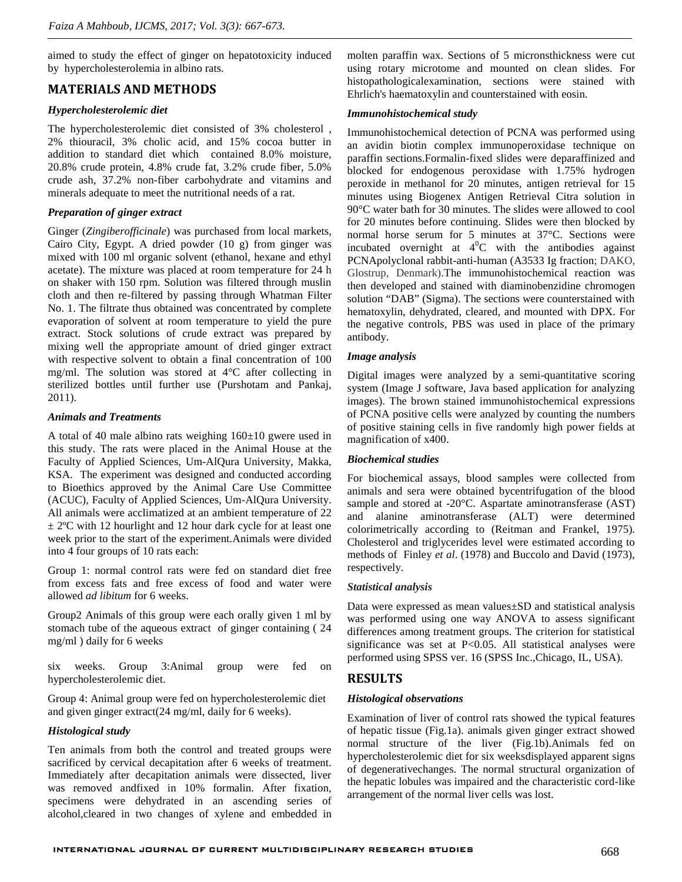aimed to study the effect of ginger on hepatotoxicity induced by hypercholesterolemia in albino rats.

### **MATERIALS AND METHODS**

#### *Hypercholesterolemic diet*

The hypercholesterolemic diet consisted of 3% cholesterol , 2% thiouracil, 3% cholic acid, and 15% cocoa butter in addition to standard diet which contained 8.0% moisture, 20.8% crude protein, 4.8% crude fat, 3.2% crude fiber, 5.0% crude ash, 37.2% non-fiber carbohydrate and vitamins and minerals adequate to meet the nutritional needs of a rat.

#### *Preparation of ginger extract*

Ginger (*Zingiberofficinale*) was purchased from local markets, Cairo City, Egypt. A dried powder (10 g) from ginger was mixed with 100 ml organic solvent (ethanol, hexane and ethyl acetate). The mixture was placed at room temperature for 24 h on shaker with 150 rpm. Solution was filtered through muslin cloth and then re-filtered by passing through Whatman Filter No. 1. The filtrate thus obtained was concentrated by complete evaporation of solvent at room temperature to yield the pure extract. Stock solutions of crude extract was prepared by mixing well the appropriate amount of dried ginger extract with respective solvent to obtain a final concentration of 100 mg/ml. The solution was stored at 4°C after collecting in sterilized bottles until further use (Purshotam and Pankaj, 2011).

#### *Animals and Treatments*

A total of 40 male albino rats weighing 160±10 gwere used in this study. The rats were placed in the Animal House at the Faculty of Applied Sciences, Um-AlQura University, Makka, KSA. The experiment was designed and conducted according to Bioethics approved by the Animal Care Use Committee (ACUC), Faculty of Applied Sciences, Um-AlQura University. All animals were acclimatized at an ambient temperature of 22  $\pm$  2°C with 12 hourlight and 12 hour dark cycle for at least one week prior to the start of the experiment.Animals were divided into 4 four groups of 10 rats each:

Group 1: normal control rats were fed on standard diet free from excess fats and free excess of food and water were allowed *ad libitum* for 6 weeks.

Group2 Animals of this group were each orally given 1 ml by stomach tube of the aqueous extract of ginger containing ( 24 mg/ml ) daily for 6 weeks

six weeks. Group 3:Animal group were fed on hypercholesterolemic diet.

Group 4: Animal group were fed on hypercholesterolemic diet and given ginger extract(24 mg/ml, daily for 6 weeks).

#### *Histological study*

Ten animals from both the control and treated groups were sacrificed by cervical decapitation after 6 weeks of treatment. Immediately after decapitation animals were dissected, liver was removed andfixed in 10% formalin. After fixation, specimens were dehydrated in an ascending series of alcohol,cleared in two changes of xylene and embedded in

molten paraffin wax. Sections of 5 micronsthickness were cut using rotary microtome and mounted on clean slides. For histopathologicalexamination, sections were stained with Ehrlich's haematoxylin and counterstained with eosin.

#### *Immunohistochemical study*

Immunohistochemical detection of PCNA was performed using an avidin biotin complex immunoperoxidase technique on paraffin sections.Formalin-fixed slides were deparaffinized and blocked for endogenous peroxidase with 1.75% hydrogen peroxide in methanol for 20 minutes, antigen retrieval for 15 minutes using Biogenex Antigen Retrieval Citra solution in 90°C water bath for 30 minutes. The slides were allowed to cool for 20 minutes before continuing. Slides were then blocked by normal horse serum for 5 minutes at 37°C. Sections were incubated overnight at  $4^{\circ}$ C with the antibodies against PCNApolyclonal rabbit-anti-human (A3533 Ig fraction; DAKO, Glostrup, Denmark).The immunohistochemical reaction was then developed and stained with diaminobenzidine chromogen solution "DAB" (Sigma). The sections were counterstained with hematoxylin, dehydrated, cleared, and mounted with DPX. For the negative controls, PBS was used in place of the primary antibody.

#### *Image analysis*

Digital images were analyzed by a semi-quantitative scoring system (Image J software, Java based application for analyzing images). The brown stained immunohistochemical expressions of PCNA positive cells were analyzed by counting the numbers of positive staining cells in five randomly high power fields at magnification of x400.

#### *Biochemical studies*

For biochemical assays, blood samples were collected from animals and sera were obtained bycentrifugation of the blood sample and stored at -20°C. Aspartate aminotransferase (AST) and alanine aminotransferase (ALT) were determined colorimetrically according to (Reitman and Frankel, 1975). Cholesterol and triglycerides level were estimated according to methods of Finley *et al*. (1978) and Buccolo and David (1973), respectively.

#### *Statistical analysis*

Data were expressed as mean values±SD and statistical analysis was performed using one way ANOVA to assess significant differences among treatment groups. The criterion for statistical significance was set at  $P<0.05$ . All statistical analyses were performed using SPSS ver. 16 (SPSS Inc.,Chicago, IL, USA).

### **RESULTS**

#### *Histological observations*

Examination of liver of control rats showed the typical features of hepatic tissue (Fig.1a). animals given ginger extract showed normal structure of the liver (Fig.1b).Animals fed on hypercholesterolemic diet for six weeksdisplayed apparent signs of degenerativechanges. The normal structural organization of the hepatic lobules was impaired and the characteristic cord-like arrangement of the normal liver cells was lost.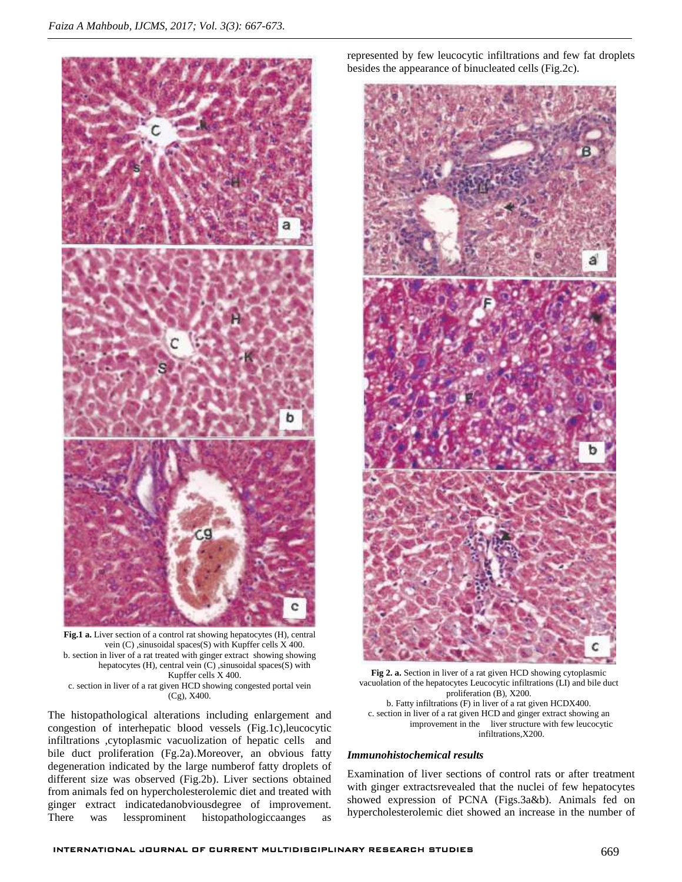

**Fig.1 a.** Liver section of a control rat showing hepatocytes (H), central vein (C) ,sinusoidal spaces(S) with Kupffer cells X 400. b. section in liver of a rat treated with ginger extract showing showing hepatocytes (H), central vein (C) ,sinusoidal spaces(S) with Kupffer cells X 400. c. section in liver of a rat given HCD showing congested portal vein (Cg), X400.

The histopathological alterations including enlargement and congestion of interhepatic blood vessels (Fig.1c),leucocytic infiltrations ,cytoplasmic vacuolization of hepatic cells and bile duct proliferation (Fg.2a).Moreover, an obvious fatty degeneration indicated by the large numberof fatty droplets of different size was observed (Fig.2b). Liver sections obtained from animals fed on hypercholesterolemic diet and treated with ginger extract indicatedanobviousdegree of improvement. There was lessprominent histopathologiccaanges as

represented by few leucocytic infiltrations and few fat droplets besides the appearance of binucleated cells (Fig.2c).



**Fig 2. a.** Section in liver of a rat given HCD showing cytoplasmic vacuolation of the hepatocytes Leucocytic infiltrations (LI) and bile duct proliferation (B), X200. b. Fatty infiltrations (F) in liver of a rat given HCDX400. c. section in liver of a rat given HCD and ginger extract showing an improvement in the liver structure with few leucocytic infiltrations,X200.

#### *Immunohistochemical results*

Examination of liver sections of control rats or after treatment with ginger extractsrevealed that the nuclei of few hepatocytes showed expression of PCNA (Figs.3a&b). Animals fed on hypercholesterolemic diet showed an increase in the number of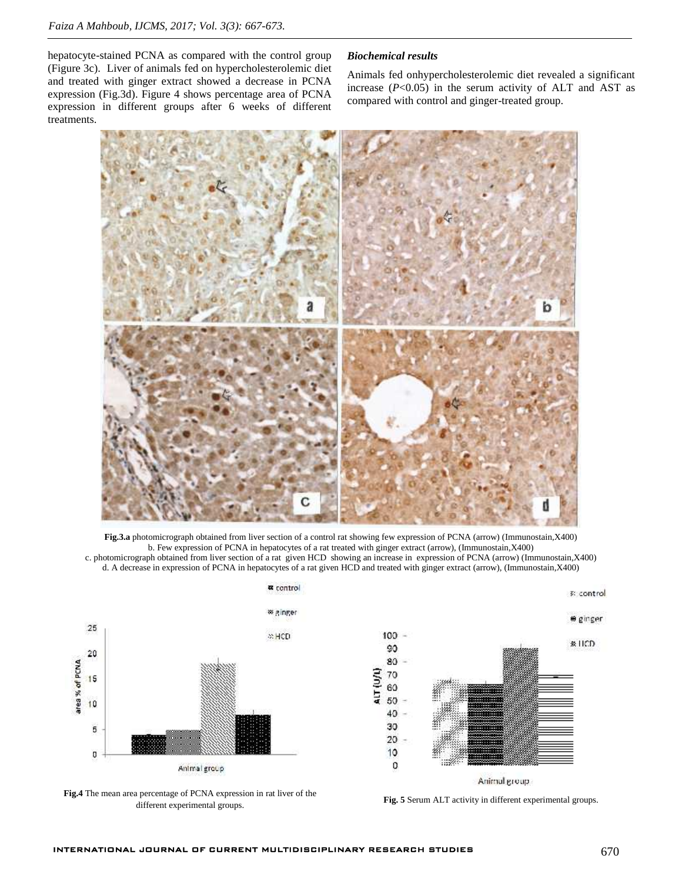hepatocyte-stained PCNA as compared with the control group (Figure 3c). Liver of animals fed on hypercholesterolemic diet and treated with ginger extract showed a decrease in PCNA expression (Fig.3d). Figure 4 shows percentage area of PCNA expression in different groups after 6 weeks of different treatments.

#### *Biochemical results*

Animals fed onhypercholesterolemic diet revealed a significant increase  $(P<0.05)$  in the serum activity of ALT and AST as compared with control and ginger-treated group.



**Fig.3.a** photomicrograph obtained from liver section of a control rat showing few expression of PCNA (arrow) (Immunostain,X400) b. Few expression of PCNA in hepatocytes of a rat treated with ginger extract (arrow), (Immunostain,X400) c. photomicrograph obtained from liver section of a rat given HCD showing an increase in expression of PCNA (arrow) (Immunostain,X400) d. A decrease in expression of PCNA in hepatocytes of a rat given HCD and treated with ginger extract (arrow), (Immunostain,X400)



**Fig.4** The mean area percentage of PCNA expression in rat liver of the different experimental groups.<br>different experimental groups.



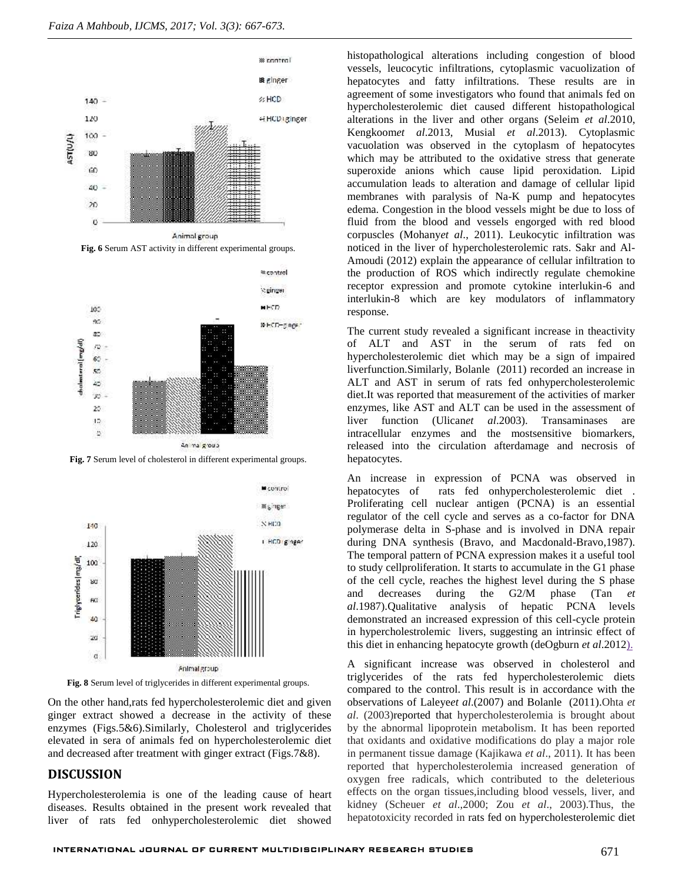

**Fig. 6** Serum AST activity in different experimental groups.



**Fig. 7** Serum level of cholesterol in different experimental groups.



**Fig. 8** Serum level of triglycerides in different experimental groups.

On the other hand,rats fed hypercholesterolemic diet and given ginger extract showed a decrease in the activity of these enzymes (Figs.5&6).Similarly, Cholesterol and triglycerides elevated in sera of animals fed on hypercholesterolemic diet and decreased after treatment with ginger extract (Figs.7&8).

#### **DISCUSSION**

Hypercholesterolemia is one of the leading cause of heart diseases. Results obtained in the present work revealed that liver of rats fed onhypercholesterolemic diet showed

histopathological alterations including congestion of blood vessels, leucocytic infiltrations, cytoplasmic vacuolization of hepatocytes and fatty infiltrations. These results are in agreement of some investigators who found that animals fed on hypercholesterolemic diet caused different histopathological alterations in the liver and other organs (Seleim *et al*.2010, Kengkoom*et al*.2013, Musial *et al*.2013). Cytoplasmic vacuolation was observed in the cytoplasm of hepatocytes which may be attributed to the oxidative stress that generate superoxide anions which cause lipid peroxidation. Lipid accumulation leads to alteration and damage of cellular lipid membranes with paralysis of Na-K pump and hepatocytes edema. Congestion in the blood vessels might be due to loss of fluid from the blood and vessels engorged with red blood corpuscles (Mohany*et al*., 2011). Leukocytic infiltration was noticed in the liver of hypercholesterolemic rats. Sakr and Al- Amoudi (2012) explain the appearance of cellular infiltration to the production of ROS which indirectly regulate chemokine receptor expression and promote cytokine interlukin-6 and interlukin-8 which are key modulators of inflammatory response.

The current study revealed a significant increase in theactivity of ALT and AST in the serum of rats fed on hypercholesterolemic diet which may be a sign of impaired liverfunction.Similarly, Bolanle (2011) recorded an increase in ALT and AST in serum of rats fed onhypercholesterolemic diet.It was reported that measurement of the activities of marker enzymes, like AST and ALT can be used in the assessment of liver function (Ulican*et al*.2003). Transaminases are intracellular enzymes and the mostsensitive biomarkers, released into the circulation afterdamage and necrosis of hepatocytes.

An increase in expression of PCNA was observed in hepatocytes of rats fed onhypercholesterolemic diet . Proliferating cell nuclear antigen (PCNA) is an essential regulator of the cell cycle and serves as a co-factor for DNA polymerase delta in S-phase and is involved in DNA repair during DNA synthesis (Bravo, and Macdonald-Bravo,1987). The temporal pattern of PCNA expression makes it a useful tool to study cellproliferation. It starts to accumulate in the G1 phase of the cell cycle, reaches the highest level during the S phase and decreases during the G2/M phase (Tan *et al*.1987).Qualitative analysis of hepatic PCNA levels demonstrated an increased expression of this cell-cycle protein in hypercholestrolemic livers, suggesting an intrinsic effect of this diet in enhancing hepatocyte growth (deOgburn *et al*.2012).

A significant increase was observed in cholesterol and triglycerides of the rats fed hypercholesterolemic diets compared to the control. This result is in accordance with the observations of Laleye*et al*.(2007) and Bolanle (2011).Ohta *et al*. (2003)reported that hypercholesterolemia is brought about by the abnormal lipoprotein metabolism. It has been reported that oxidants and oxidative modifications do play a major role in permanent tissue damage (Kajikawa *et al*., 2011). It has been reported that hypercholesterolemia increased generation of oxygen free radicals, which contributed to the deleterious effects on the organ tissues,including blood vessels, liver, and kidney (Scheuer *et al*.,2000; Zou *et al*., 2003).Thus, the hepatotoxicity recorded in rats fed on hypercholesterolemic diet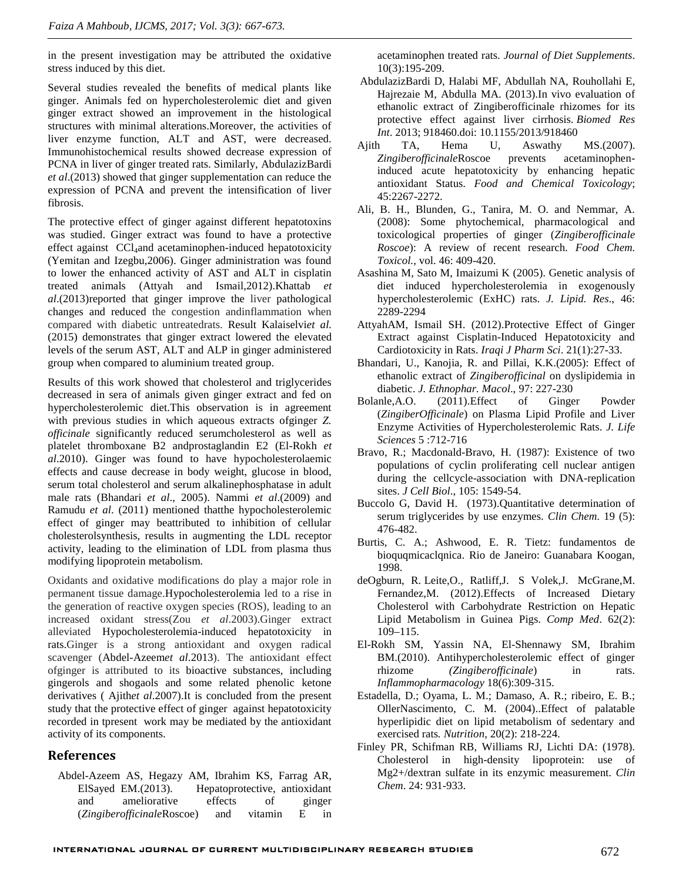in the present investigation may be attributed the oxidative stress induced by this diet.

Several studies revealed the benefits of medical plants like ginger. Animals fed on hypercholesterolemic diet and given ginger extract showed an improvement in the histological structures with minimal alterations.Moreover, the activities of liver enzyme function, ALT and AST, were decreased. Immunohistochemical results showed decrease expression of PCNA in liver of ginger treated rats. Similarly, AbdulazizBardi *et al*.(2013) showed that ginger supplementation can reduce the expression of PCNA and prevent the intensification of liver fibrosis.

The protective effect of ginger against different hepatotoxins was studied. Ginger extract was found to have a protective effect against CCl<sub>4</sub>and acetaminophen-induced hepatotoxicity (Yemitan and Izegbu,2006). Ginger administration was found to lower the enhanced activity of AST and ALT in cisplatin treated animals (Attyah and Ismail,2012).Khattab *et al*.(2013)reported that ginger improve the liver pathological changes and reduced the congestion andinflammation when compared with diabetic untreatedrats. Result Kalaiselvi*et al.* (2015) demonstrates that ginger extract lowered the elevated levels of the serum AST, ALT and ALP in ginger administered group when compared to aluminium treated group.

Results of this work showed that cholesterol and triglycerides decreased in sera of animals given ginger extract and fed on Bolanle.A.O. hypercholesterolemic diet.This observation is in agreement with previous studies in which aqueous extracts ofginger *Z. officinale* significantly reduced serumcholesterol as well as platelet thromboxane B2 andprostaglandin E2 (El-Rokh *et al*.2010). Ginger was found to have hypocholesterolaemic effects and cause decrease in body weight, glucose in blood, serum total cholesterol and serum alkalinephosphatase in adult male rats (Bhandari *et al*., 2005). Nammi *et al*.(2009) and Ramudu *et al*. (2011) mentioned thatthe hypocholesterolemic effect of ginger may beattributed to inhibition of cellular cholesterolsynthesis, results in augmenting the LDL receptor activity, leading to the elimination of LDL from plasma thus modifying lipoprotein metabolism.

Oxidants and oxidative modifications do play a major role in permanent tissue damage.Hypocholesterolemia led to a rise in the generation of reactive oxygen species (ROS), leading to an increased oxidant stress(Zou *et al*.2003).Ginger extract alleviated Hypocholesterolemia-induced hepatotoxicity in rats.Ginger is a strong antioxidant and oxygen radical scavenger (Abdel-Azeem*et al*.2013). The antioxidant effect ofginger is attributed to its bioactive substances, including gingerols and shogaols and some related phenolic ketone derivatives ( Ajith*et al*.2007).It is concluded from the present study that the protective effect of ginger against hepatotoxicity recorded in tpresent work may be mediated by the antioxidant activity of its components.

### **References**

Abdel-Azeem AS, Hegazy AM, Ibrahim KS, Farrag AR, ElSayed EM.(2013). Hepatoprotective, antioxidant and ameliorative effects of ginger (*Zingiberofficinale*Roscoe) and vitamin E in

acetaminophen treated rats. *Journal of Diet Supplements*. 10(3):195-209.

- AbdulazizBardi D, Halabi MF, Abdullah NA, Rouhollahi E, Hajrezaie M, Abdulla MA. (2013).In vivo evaluation of ethanolic extract of Zingiberofficinale rhizomes for its protective effect against liver cirrhosis. *Biomed Res Int*. 2013; 918460.doi: 10.1155/2013/918460
- TA, Hema U, Aswathy MS.(2007). *Zingiberofficinale*Roscoe prevents acetaminopheninduced acute hepatotoxicity by enhancing hepatic antioxidant Status. *Food and Chemical Toxicology*; 45:2267-2272.
- Ali, B. H., Blunden, G., Tanira, M. O. and Nemmar, A. (2008): Some phytochemical, pharmacological and toxicological properties of ginger (*Zingiberofficinale Roscoe*): A review of recent research. *Food Chem. Toxicol.*, vol. 46: 409-420.
- Asashina M, Sato M, Imaizumi K (2005). Genetic analysis of diet induced hypercholesterolemia in exogenously hypercholesterolemic (ExHC) rats. *J. Lipid. Res*., 46: 2289-2294
- AttyahAM, Ismail SH. (2012).Protective Effect of Ginger Extract against Cisplatin-Induced Hepatotoxicity and Cardiotoxicity in Rats. *Iraqi J Pharm Sci*. 21(1):27-33.
- Bhandari, U., Kanojia, R. and Pillai, K.K.(2005): Effect of ethanolic extract of *Zingiberofficinal* on dyslipidemia in diabetic. *J. Ethnophar. Macol*., 97: 227-230
- (2011).Effect of Ginger Powder (*ZingiberOfficinale*) on Plasma Lipid Profile and Liver Enzyme Activities of Hypercholesterolemic Rats. *J. Life Sciences* 5 :712-716
- Bravo, R.; Macdonald-Bravo, H. (1987): Existence of two populations of cyclin proliferating cell nuclear antigen during the cellcycle-association with DNA-replication sites. *J Cell Biol*., 105: 1549-54.
- Buccolo G, David H. (1973).Quantitative determination of serum triglycerides by use enzymes. *Clin Chem*. 19 (5): 476-482.
- Burtis, C. A.; Ashwood, E. R. Tietz: fundamentos de bioquqmicaclqnica. Rio de Janeiro: Guanabara Koogan, 1998.
- deOgburn, R. Leite,O., Ratliff,J. S Volek,J. McGrane,M. Fernandez,M. (2012).Effects of Increased Dietary Cholesterol with Carbohydrate Restriction on Hepatic Lipid Metabolism in Guinea Pigs. *Comp Med*. 62(2): 109–115.
- El-Rokh SM, Yassin NA, El-Shennawy SM, Ibrahim BM.(2010). Antihypercholesterolemic effect of ginger rhizome *(Zingiberofficinale*) in rats. *Inflammopharmacology* 18(6):309-315.
- Estadella, D.; Oyama, L. M.; Damaso, A. R.; ribeiro, E. B.; OllerNascimento, C. M. (2004)..Effect of palatable hyperlipidic diet on lipid metabolism of sedentary and exercised rats*. Nutrition*, 20(2): 218-224.
- Finley PR, Schifman RB, Williams RJ, Lichti DA: (1978). Cholesterol in high-density lipoprotein: use of Mg2+/dextran sulfate in its enzymic measurement. *Clin Chem*. 24: 931-933.